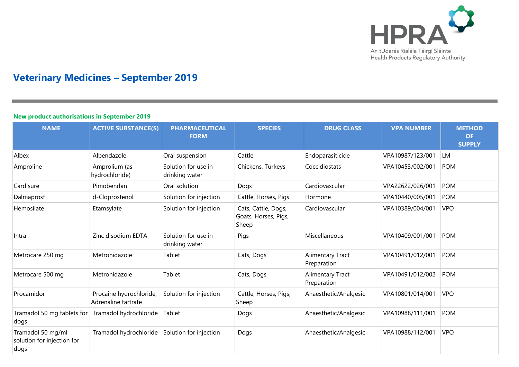

# **Veterinary Medicines – September 2019**

### **New product authorisations in September 2019**

| <b>NAME</b>                                             | <b>ACTIVE SUBSTANCE(S)</b>                     | <b>PHARMACEUTICAL</b><br><b>FORM</b>  | <b>SPECIES</b>                                       | <b>DRUG CLASS</b>               | <b>VPA NUMBER</b> | <b>METHOD</b><br><b>OF</b><br><b>SUPPLY</b> |
|---------------------------------------------------------|------------------------------------------------|---------------------------------------|------------------------------------------------------|---------------------------------|-------------------|---------------------------------------------|
| Albex                                                   | Albendazole                                    | Oral suspension                       | Cattle                                               | Endoparasiticide                | VPA10987/123/001  | LM                                          |
| Amproline                                               | Amprolium (as<br>hydrochloride)                | Solution for use in<br>drinking water | Chickens, Turkeys                                    | Coccidiostats                   | VPA10453/002/001  | <b>POM</b>                                  |
| Cardisure                                               | Pimobendan                                     | Oral solution                         | Dogs                                                 | Cardiovascular                  | VPA22622/026/001  | POM                                         |
| Dalmaprost                                              | d-Cloprostenol                                 | Solution for injection                | Cattle, Horses, Pigs                                 | Hormone                         | VPA10440/005/001  | POM                                         |
| Hemosilate                                              | Etamsylate                                     | Solution for injection                | Cats, Cattle, Dogs,<br>Goats, Horses, Pigs,<br>Sheep | Cardiovascular                  | VPA10389/004/001  | <b>VPO</b>                                  |
| Intra                                                   | Zinc disodium EDTA                             | Solution for use in<br>drinking water | Pigs                                                 | Miscellaneous                   | VPA10409/001/001  | POM                                         |
| Metrocare 250 mg                                        | Metronidazole                                  | Tablet                                | Cats, Dogs                                           | Alimentary Tract<br>Preparation | VPA10491/012/001  | <b>POM</b>                                  |
| Metrocare 500 mg                                        | Metronidazole                                  | Tablet                                | Cats, Dogs                                           | Alimentary Tract<br>Preparation | VPA10491/012/002  | POM                                         |
| Procamidor                                              | Procaine hydrochloride,<br>Adrenaline tartrate | Solution for injection                | Cattle, Horses, Pigs,<br>Sheep                       | Anaesthetic/Analgesic           | VPA10801/014/001  | <b>VPO</b>                                  |
| Tramadol 50 mg tablets for<br>dogs                      | Tramadol hydrochloride                         | Tablet                                | Dogs                                                 | Anaesthetic/Analgesic           | VPA10988/111/001  | POM                                         |
| Tramadol 50 mg/ml<br>solution for injection for<br>dogs | Tramadol hydrochloride                         | Solution for injection                | Dogs                                                 | Anaesthetic/Analgesic           | VPA10988/112/001  | <b>VPO</b>                                  |